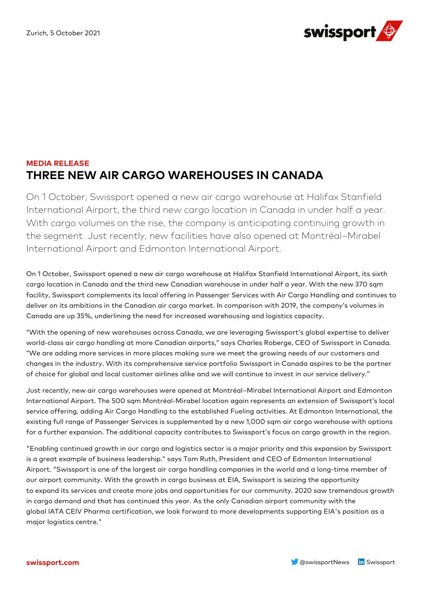

## **MEDIA RELEASE THREE NEW AIR CARGO WAREHOUSES IN CANADA**

On 1 October, Swissport opened a new air cargo warehouse at Halifax Stanfield International Airport, the third new cargo location in Canada in under half a year. With cargo volumes on the rise, the company is anticipating continuing growth in the segment. Just recently, new facilities have also opened at Montréal–Mirabel International Airport and Edmonton International Airport.

On 1 October, Swissport opened a new air cargo warehouse at Halifax Stanfield International Airport, its sixth cargo location in Canada and the third new Canadian warehouse in under half a year. With the new 370 sqm facility, Swissport complements its local offering in Passenger Services with Air Cargo Handling and continues to deliver on its ambitions in the Canadian air cargo market. In comparison with 2019, the company's volumes in Canada are up 35%, underlining the need for increased warehousing and logistics capacity.

"With the opening of new warehouses across Canada, we are leveraging Swissport's global expertise to deliver world-class air cargo handling at more Canadian airports," says Charles Roberge, CEO of Swissport in Canada. "We are adding more services in more places making sure we meet the growing needs of our customers and changes in the industry. With its comprehensive service portfolio Swissport in Canada aspires to be the partner of choice for global and local customer airlines alike and we will continue to invest in our service delivery."

Just recently, new air cargo warehouses were opened at Montréal–Mirabel International Airport and Edmonton International Airport. The 500 sqm Montréal-Mirabel location again represents an extension of Swissport's local service offering, adding Air Cargo Handling to the established Fueling activities. At Edmonton International, the existing full range of Passenger Services is supplemented by a new 1,000 sqm air cargo warehouse with options for a further expansion. The additional capacity contributes to Swissport's focus on cargo growth in the region.

"Enabling continued growth in our cargo and logistics sector is a major priority and this expansion by Swissport is a great example of business leadership." says Tom Ruth, President and CEO of Edmonton International Airport. "Swissport is one of the largest air cargo handling companies in the world and a long-time member of our airport community. With the growth in cargo business at EIA, Swissport is seizing the opportunity to expand its services and create more jobs and opportunities for our community. 2020 saw tremendous growth in cargo demand and that has continued this year. As the only Canadian airport community with the global IATA CEIV Pharma certification, we look forward to more developments supporting EIA's position as a major logistics centre."